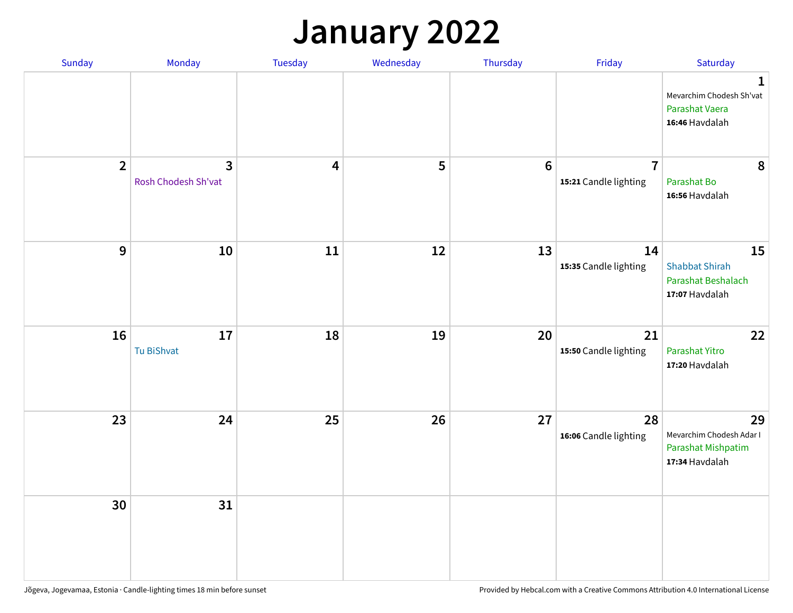## **January 2022**

| Sunday         | Monday                   | Tuesday                 | Wednesday | Thursday         | Friday                                  | Saturday                                                                     |
|----------------|--------------------------|-------------------------|-----------|------------------|-----------------------------------------|------------------------------------------------------------------------------|
|                |                          |                         |           |                  |                                         | $\mathbf{1}$<br>Mevarchim Chodesh Sh'vat<br>Parashat Vaera<br>16:46 Havdalah |
| $\overline{2}$ | 3<br>Rosh Chodesh Sh'vat | $\overline{\mathbf{4}}$ | 5         | $\boldsymbol{6}$ | $\overline{7}$<br>15:21 Candle lighting | 8<br>Parashat Bo<br>16:56 Havdalah                                           |
| $\mathbf{9}$   | 10                       | ${\bf 11}$              | 12        | 13               | 14<br>15:35 Candle lighting             | 15<br><b>Shabbat Shirah</b><br>Parashat Beshalach<br>17:07 Havdalah          |
| 16             | 17<br>Tu BiShvat         | 18                      | 19        | 20               | 21<br>15:50 Candle lighting             | 22<br>Parashat Yitro<br>17:20 Havdalah                                       |
| 23             | 24                       | 25                      | 26        | 27               | 28<br>16:06 Candle lighting             | 29<br>Mevarchim Chodesh Adar I<br>Parashat Mishpatim<br>17:34 Havdalah       |
| 30             | 31                       |                         |           |                  |                                         |                                                                              |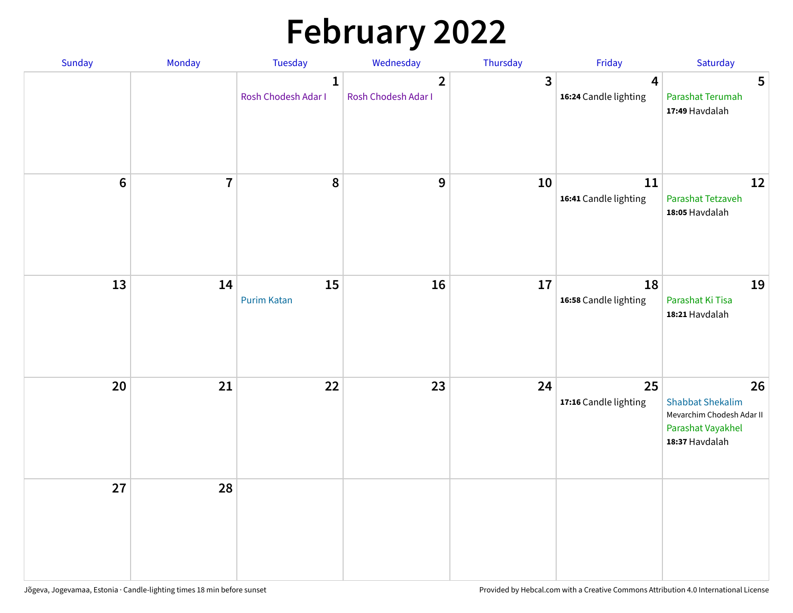# **February 2022**

| Sunday | Monday                  | <b>Tuesday</b>                      | Wednesday                             | Thursday | Friday                                           | Saturday                                                                                          |
|--------|-------------------------|-------------------------------------|---------------------------------------|----------|--------------------------------------------------|---------------------------------------------------------------------------------------------------|
|        |                         | $\mathbf{1}$<br>Rosh Chodesh Adar I | $\overline{2}$<br>Rosh Chodesh Adar I | 3        | $\overline{\mathbf{4}}$<br>16:24 Candle lighting | 5<br>Parashat Terumah<br>17:49 Havdalah                                                           |
| $6\,$  | $\overline{\mathbf{7}}$ | 8                                   | 9                                     | 10       | 11<br>16:41 Candle lighting                      | 12<br>Parashat Tetzaveh<br>18:05 Havdalah                                                         |
| 13     | 14                      | 15<br><b>Purim Katan</b>            | 16                                    | 17       | 18<br>16:58 Candle lighting                      | 19<br>Parashat Ki Tisa<br>18:21 Havdalah                                                          |
| 20     | 21                      | 22                                  | 23                                    | 24       | 25<br>17:16 Candle lighting                      | 26<br><b>Shabbat Shekalim</b><br>Mevarchim Chodesh Adar II<br>Parashat Vayakhel<br>18:37 Havdalah |
| 27     | 28                      |                                     |                                       |          |                                                  |                                                                                                   |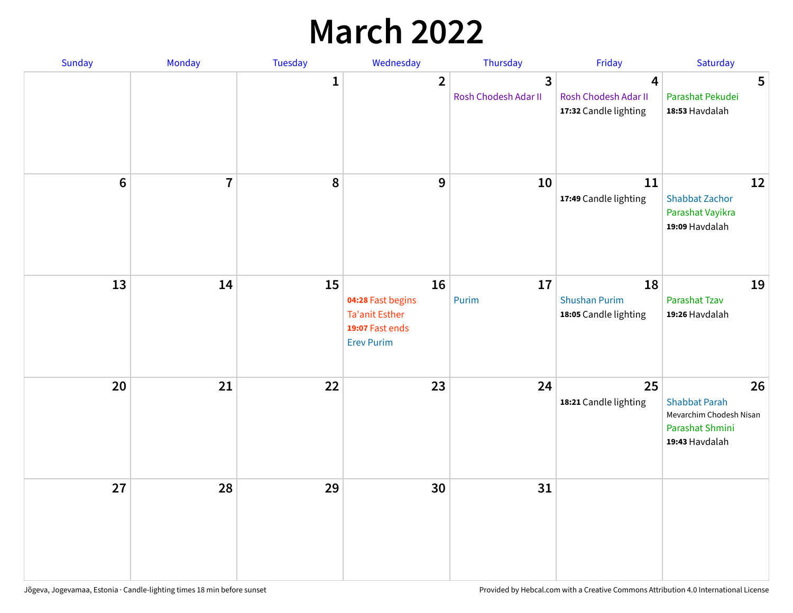## **March 2022**

| Sunday         | Monday         | Tuesday      | Wednesday                                                                         | Thursday                  | Friday                                              | Saturday                                                                                   |
|----------------|----------------|--------------|-----------------------------------------------------------------------------------|---------------------------|-----------------------------------------------------|--------------------------------------------------------------------------------------------|
|                |                | $\mathbf{1}$ | $\overline{2}$                                                                    | 3<br>Rosh Chodesh Adar II | 4<br>Rosh Chodesh Adar II<br>17:32 Candle lighting  | 5<br>Parashat Pekudei<br>18:53 Havdalah                                                    |
| $6\phantom{1}$ | $\overline{7}$ | 8            | $\mathbf{9}$                                                                      | 10                        | 11<br>17:49 Candle lighting                         | 12<br><b>Shabbat Zachor</b><br>Parashat Vayikra<br>19:09 Havdalah                          |
| 13             | 14             | 15           | 16<br>04:28 Fast begins<br>Ta'anit Esther<br>19:07 Fast ends<br><b>Erev Purim</b> | 17<br>Purim               | 18<br><b>Shushan Purim</b><br>18:05 Candle lighting | 19<br>Parashat Tzav<br>19:26 Havdalah                                                      |
| 20             | 21             | 22           | 23                                                                                | 24                        | 25<br>18:21 Candle lighting                         | 26<br><b>Shabbat Parah</b><br>Mevarchim Chodesh Nisan<br>Parashat Shmini<br>19:43 Havdalah |
| 27             | 28             | 29           | 30                                                                                | 31                        |                                                     |                                                                                            |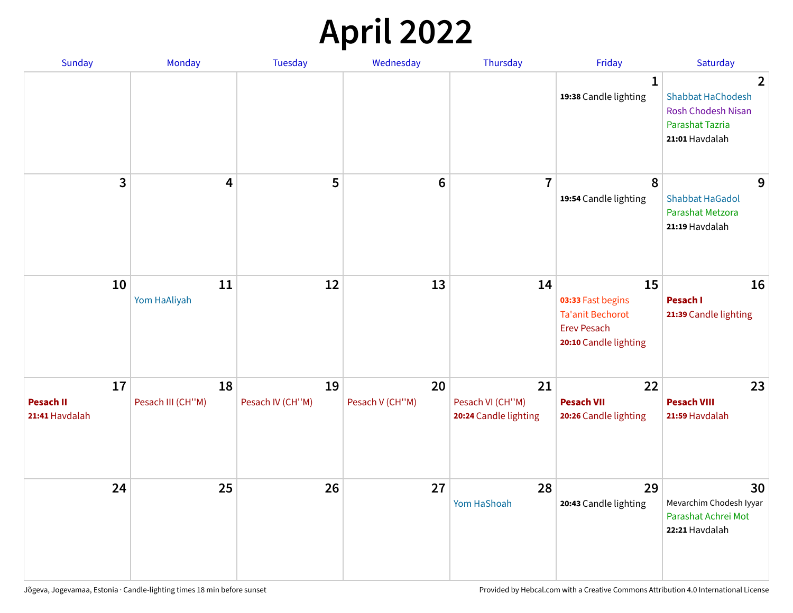## **April 2022**

| <b>Sunday</b>                            | Monday                  | <b>Tuesday</b>         | Wednesday             | Thursday                                        | Friday                                                                                            | Saturday                                                                                                     |
|------------------------------------------|-------------------------|------------------------|-----------------------|-------------------------------------------------|---------------------------------------------------------------------------------------------------|--------------------------------------------------------------------------------------------------------------|
|                                          |                         |                        |                       |                                                 | 1<br>19:38 Candle lighting                                                                        | $\overline{2}$<br><b>Shabbat HaChodesh</b><br><b>Rosh Chodesh Nisan</b><br>Parashat Tazria<br>21:01 Havdalah |
| 3                                        | 4                       | 5                      | $6\phantom{1}$        | $\overline{7}$                                  | 8<br>19:54 Candle lighting                                                                        | 9<br><b>Shabbat HaGadol</b><br>Parashat Metzora<br>21:19 Havdalah                                            |
| 10                                       | 11<br>Yom HaAliyah      | 12                     | 13                    | 14                                              | 15<br>03:33 Fast begins<br><b>Ta'anit Bechorot</b><br><b>Erev Pesach</b><br>20:10 Candle lighting | 16<br>Pesach I<br>21:39 Candle lighting                                                                      |
| 17<br><b>Pesach II</b><br>21:41 Havdalah | 18<br>Pesach III (CH"M) | 19<br>Pesach IV (CH"M) | 20<br>Pesach V (CH"M) | 21<br>Pesach VI (CH"M)<br>20:24 Candle lighting | 22<br><b>Pesach VII</b><br>20:26 Candle lighting                                                  | 23<br><b>Pesach VIII</b><br>21:59 Havdalah                                                                   |
| 24                                       | 25                      | 26                     | 27                    | 28<br>Yom HaShoah                               | 29<br>20:43 Candle lighting                                                                       | 30<br>Mevarchim Chodesh Iyyar<br>Parashat Achrei Mot<br>22:21 Havdalah                                       |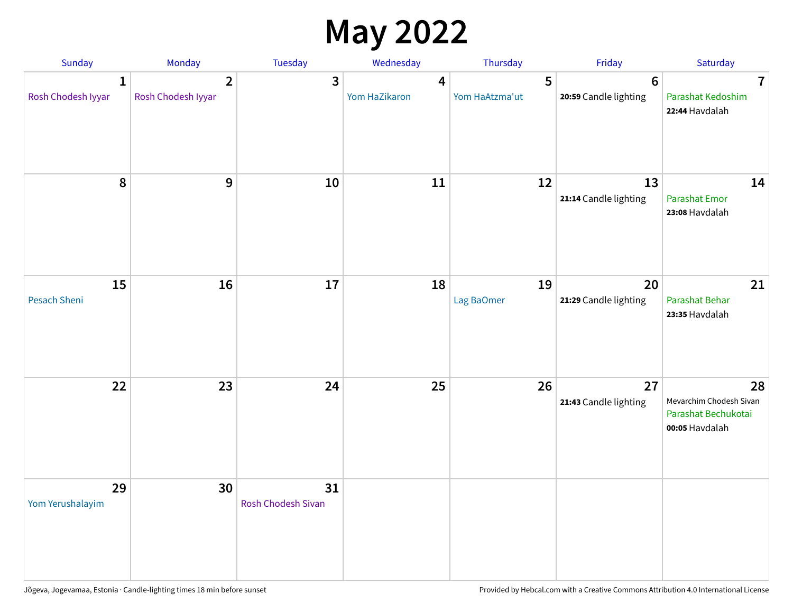## **May 2022**

| Sunday                             | Monday                               | Tuesday                         | Wednesday          | Thursday            | Friday                                   | Saturday                                                               |
|------------------------------------|--------------------------------------|---------------------------------|--------------------|---------------------|------------------------------------------|------------------------------------------------------------------------|
| $\mathbf{1}$<br>Rosh Chodesh Iyyar | $\overline{2}$<br>Rosh Chodesh Iyyar | 3                               | 4<br>Yom HaZikaron | 5<br>Yom HaAtzma'ut | $6\phantom{1}6$<br>20:59 Candle lighting | $\overline{7}$<br>Parashat Kedoshim<br>22:44 Havdalah                  |
| $\pmb{8}$                          | $\mathbf{9}$                         | 10                              | 11                 | 12                  | 13<br>21:14 Candle lighting              | 14<br><b>Parashat Emor</b><br>23:08 Havdalah                           |
| 15<br>Pesach Sheni                 | 16                                   | 17                              | 18                 | 19<br>Lag BaOmer    | 20<br>21:29 Candle lighting              | 21<br>Parashat Behar<br>23:35 Havdalah                                 |
| 22                                 | 23                                   | 24                              | 25                 | 26                  | 27<br>21:43 Candle lighting              | 28<br>Mevarchim Chodesh Sivan<br>Parashat Bechukotai<br>00:05 Havdalah |
| 29<br>Yom Yerushalayim             | 30                                   | 31<br><b>Rosh Chodesh Sivan</b> |                    |                     |                                          |                                                                        |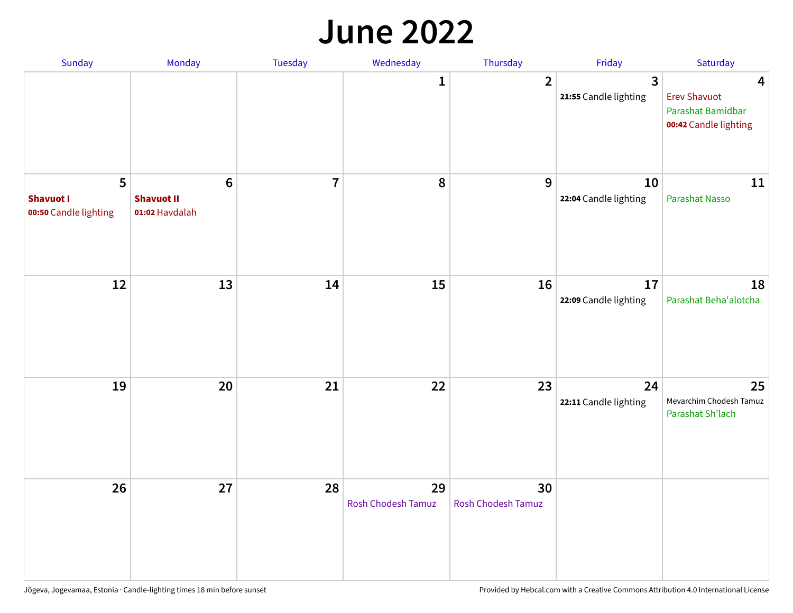#### **June 2022**

| Sunday                                         | Monday                                                | Tuesday        | Wednesday                       | Thursday                 | Friday                      | Saturday                                                               |
|------------------------------------------------|-------------------------------------------------------|----------------|---------------------------------|--------------------------|-----------------------------|------------------------------------------------------------------------|
|                                                |                                                       |                | 1                               | $\overline{2}$           | 3<br>21:55 Candle lighting  | 4<br><b>Erev Shavuot</b><br>Parashat Bamidbar<br>00:42 Candle lighting |
| 5<br><b>Shavuot I</b><br>00:50 Candle lighting | $6\phantom{1}$<br><b>Shavuot II</b><br>01:02 Havdalah | $\overline{7}$ | 8                               | 9                        | 10<br>22:04 Candle lighting | 11<br><b>Parashat Nasso</b>                                            |
| 12                                             | 13                                                    | 14             | 15                              | 16                       | 17<br>22:09 Candle lighting | 18<br>Parashat Beha'alotcha                                            |
| 19                                             | 20                                                    | 21             | 22                              | 23                       | 24<br>22:11 Candle lighting | 25<br>Mevarchim Chodesh Tamuz<br>Parashat Sh'lach                      |
| 26                                             | 27                                                    | 28             | 29<br><b>Rosh Chodesh Tamuz</b> | 30<br>Rosh Chodesh Tamuz |                             |                                                                        |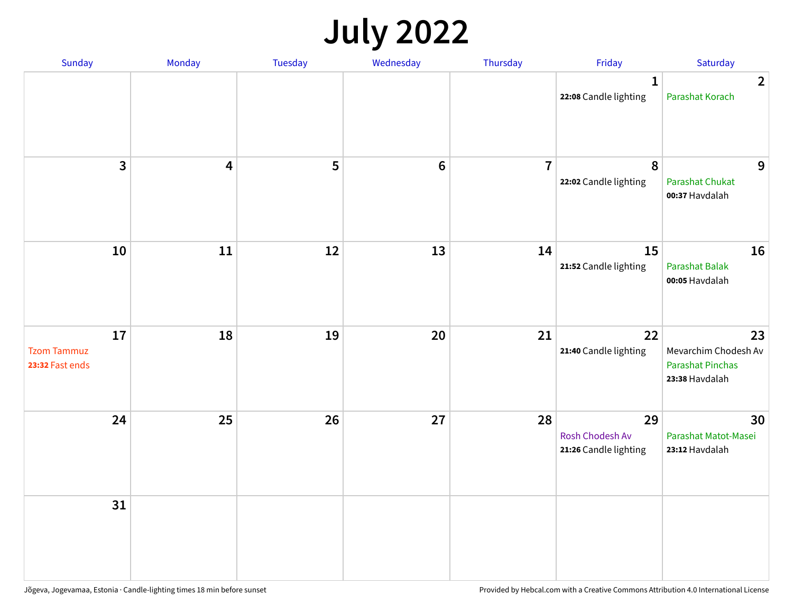## **July 2022**

| Sunday                                      | Monday                  | Tuesday | Wednesday | Thursday       | Friday                                         | Saturday                                                                |
|---------------------------------------------|-------------------------|---------|-----------|----------------|------------------------------------------------|-------------------------------------------------------------------------|
|                                             |                         |         |           |                | $\mathbf{1}$<br>22:08 Candle lighting          | $\overline{2}$<br>Parashat Korach                                       |
| $\mathbf{3}$                                | $\overline{\mathbf{4}}$ | 5       | $\bf 6$   | $\overline{7}$ | $\boldsymbol{8}$<br>22:02 Candle lighting      | 9<br><b>Parashat Chukat</b><br>00:37 Havdalah                           |
| 10                                          | 11                      | 12      | 13        | 14             | 15<br>21:52 Candle lighting                    | 16<br>Parashat Balak<br>00:05 Havdalah                                  |
| 17<br><b>Tzom Tammuz</b><br>23:32 Fast ends | 18                      | 19      | 20        | 21             | 22<br>21:40 Candle lighting                    | 23<br>Mevarchim Chodesh Av<br><b>Parashat Pinchas</b><br>23:38 Havdalah |
| 24                                          | 25                      | 26      | 27        | 28             | 29<br>Rosh Chodesh Av<br>21:26 Candle lighting | 30<br>Parashat Matot-Masei<br>23:12 Havdalah                            |
| 31                                          |                         |         |           |                |                                                |                                                                         |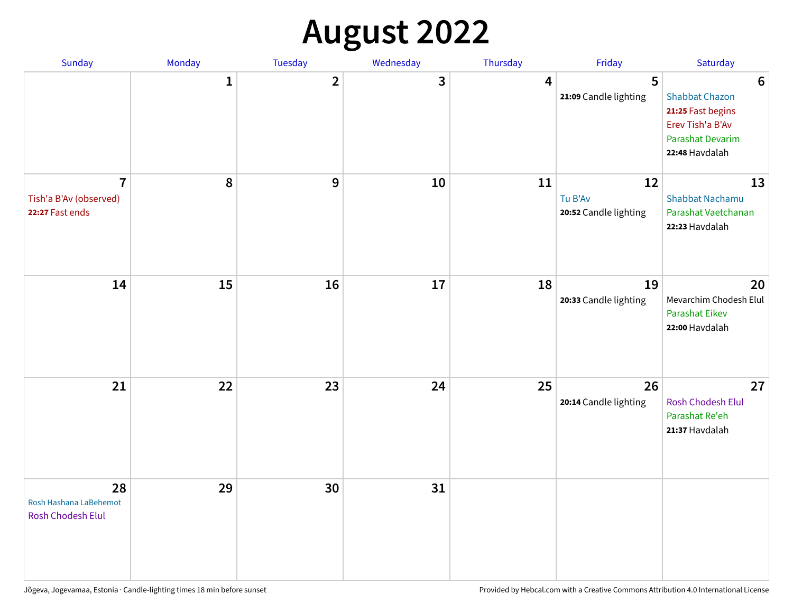## **August 2022**

| Sunday                                                      | Monday       | <b>Tuesday</b> | Wednesday | Thursday | Friday                                 | Saturday                                                                                                                       |
|-------------------------------------------------------------|--------------|----------------|-----------|----------|----------------------------------------|--------------------------------------------------------------------------------------------------------------------------------|
|                                                             | $\mathbf{1}$ | $\overline{2}$ | 3         | 4        | 5<br>21:09 Candle lighting             | $6\phantom{1}6$<br><b>Shabbat Chazon</b><br>21:25 Fast begins<br>Erev Tish'a B'Av<br><b>Parashat Devarim</b><br>22:48 Havdalah |
| $\overline{7}$<br>Tish'a B'Av (observed)<br>22:27 Fast ends | 8            | 9              | 10        | 11       | 12<br>Tu B'Av<br>20:52 Candle lighting | 13<br><b>Shabbat Nachamu</b><br>Parashat Vaetchanan<br>22:23 Havdalah                                                          |
| 14                                                          | 15           | 16             | 17        | 18       | 19<br>20:33 Candle lighting            | 20<br>Mevarchim Chodesh Elul<br><b>Parashat Eikev</b><br>22:00 Havdalah                                                        |
| 21                                                          | 22           | 23             | 24        | 25       | 26<br>20:14 Candle lighting            | 27<br><b>Rosh Chodesh Elul</b><br>Parashat Re'eh<br>21:37 Havdalah                                                             |
| 28<br>Rosh Hashana LaBehemot<br><b>Rosh Chodesh Elul</b>    | 29           | 30             | 31        |          |                                        |                                                                                                                                |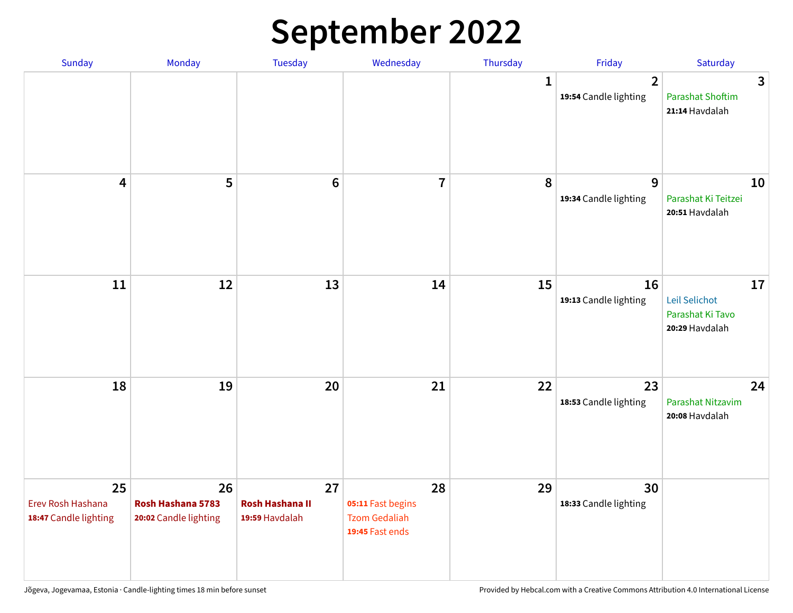## **September 2022**

| Sunday                                           | Monday                                           | Tuesday                                        | Wednesday                                                          | Thursday     | Friday                                  | Saturday                                                  |
|--------------------------------------------------|--------------------------------------------------|------------------------------------------------|--------------------------------------------------------------------|--------------|-----------------------------------------|-----------------------------------------------------------|
|                                                  |                                                  |                                                |                                                                    | $\mathbf{1}$ | $\overline{2}$<br>19:54 Candle lighting | 3<br><b>Parashat Shoftim</b><br>21:14 Havdalah            |
| $\overline{\mathbf{4}}$                          | 5                                                | $6\phantom{1}6$                                | $\overline{7}$                                                     | 8            | 9<br>19:34 Candle lighting              | 10<br>Parashat Ki Teitzei<br>20:51 Havdalah               |
| $11\,$                                           | 12                                               | 13                                             | 14                                                                 | 15           | 16<br>19:13 Candle lighting             | 17<br>Leil Selichot<br>Parashat Ki Tavo<br>20:29 Havdalah |
| 18                                               | 19                                               | 20                                             | 21                                                                 | 22           | 23<br>18:53 Candle lighting             | 24<br>Parashat Nitzavim<br>20:08 Havdalah                 |
| 25<br>Erev Rosh Hashana<br>18:47 Candle lighting | 26<br>Rosh Hashana 5783<br>20:02 Candle lighting | 27<br><b>Rosh Hashana II</b><br>19:59 Havdalah | 28<br>05:11 Fast begins<br><b>Tzom Gedaliah</b><br>19:45 Fast ends | 29           | 30<br>18:33 Candle lighting             |                                                           |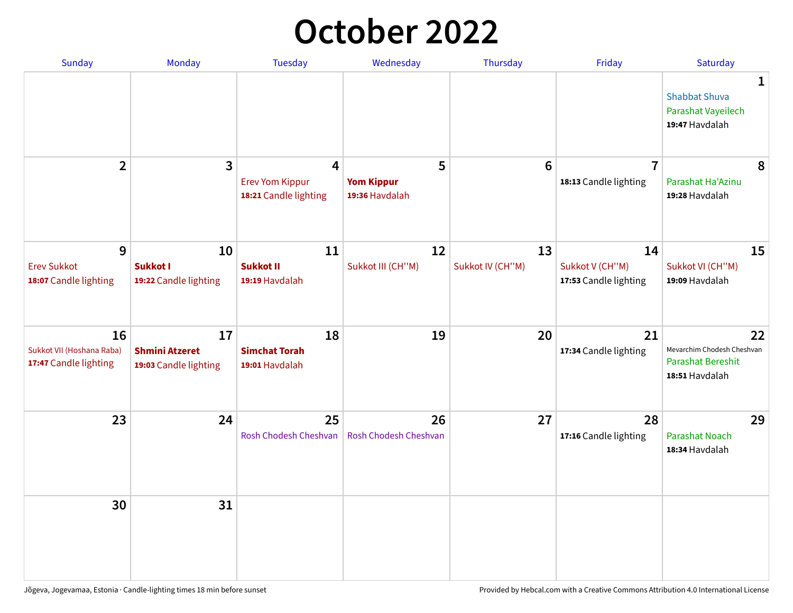## **October 2022**

| <b>Sunday</b>                                            | Monday                                               | <b>Tuesday</b>                                       | Wednesday                                | Thursday               | Friday                                         | Saturday                                                                     |
|----------------------------------------------------------|------------------------------------------------------|------------------------------------------------------|------------------------------------------|------------------------|------------------------------------------------|------------------------------------------------------------------------------|
|                                                          |                                                      |                                                      |                                          |                        |                                                | $\mathbf{1}$<br><b>Shabbat Shuva</b><br>Parashat Vayeilech<br>19:47 Havdalah |
| $\overline{2}$                                           | $\mathbf{3}$                                         | 4<br><b>Erev Yom Kippur</b><br>18:21 Candle lighting | 5<br><b>Yom Kippur</b><br>19:36 Havdalah | 6                      | $\overline{7}$<br>18:13 Candle lighting        | 8<br>Parashat Ha'Azinu<br>19:28 Havdalah                                     |
| 9<br><b>Erev Sukkot</b><br>18:07 Candle lighting         | 10<br><b>Sukkot I</b><br>19:22 Candle lighting       | 11<br><b>Sukkot II</b><br>19:19 Havdalah             | 12<br>Sukkot III (CH"M)                  | 13<br>Sukkot IV (CH"M) | 14<br>Sukkot V (CH"M)<br>17:53 Candle lighting | 15<br>Sukkot VI (CH"M)<br>19:09 Havdalah                                     |
| 16<br>Sukkot VII (Hoshana Raba)<br>17:47 Candle lighting | 17<br><b>Shmini Atzeret</b><br>19:03 Candle lighting | 18<br><b>Simchat Torah</b><br>19:01 Havdalah         | 19                                       | 20                     | 21<br>17:34 Candle lighting                    | 22<br>Mevarchim Chodesh Cheshvan<br>Parashat Bereshit<br>18:51 Havdalah      |
| 23                                                       | 24                                                   | 25<br>Rosh Chodesh Cheshvan                          | 26<br>Rosh Chodesh Cheshvan              | 27                     | 28<br>17:16 Candle lighting                    | 29<br><b>Parashat Noach</b><br>18:34 Havdalah                                |
| 30                                                       | 31                                                   |                                                      |                                          |                        |                                                |                                                                              |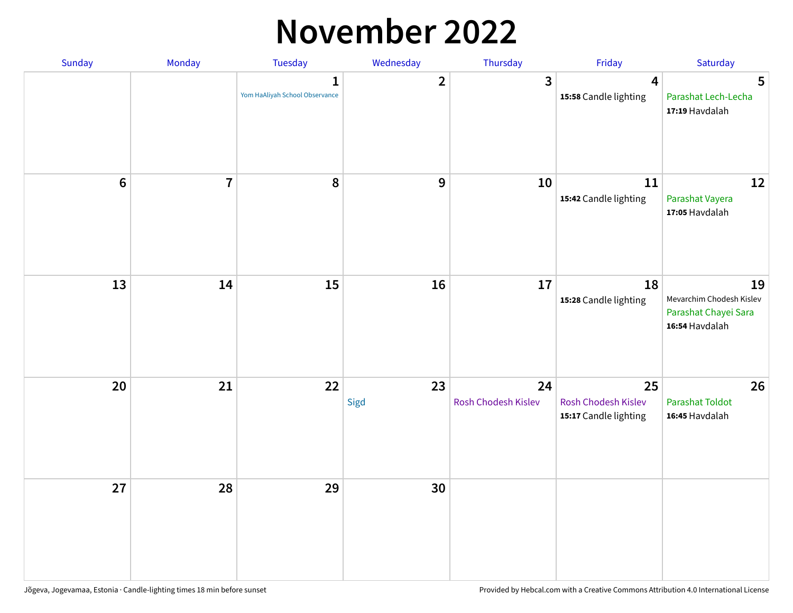#### **November 2022**

| Sunday         | Monday         | Tuesday                             | Wednesday               | Thursday                  | Friday                                             | Saturday                                                                 |
|----------------|----------------|-------------------------------------|-------------------------|---------------------------|----------------------------------------------------|--------------------------------------------------------------------------|
|                |                | 1<br>Yom HaAliyah School Observance | $\overline{\mathbf{2}}$ | $\mathbf{3}$              | $\overline{\mathbf{4}}$<br>15:58 Candle lighting   | 5<br>Parashat Lech-Lecha<br>17:19 Havdalah                               |
| $6\phantom{1}$ | $\overline{7}$ | 8                                   | $\boldsymbol{9}$        | 10                        | 11<br>15:42 Candle lighting                        | 12<br>Parashat Vayera<br>17:05 Havdalah                                  |
| 13             | 14             | 15                                  | 16                      | 17                        | 18<br>15:28 Candle lighting                        | 19<br>Mevarchim Chodesh Kislev<br>Parashat Chayei Sara<br>16:54 Havdalah |
| 20             | 21             | 22                                  | 23<br>Sigd              | 24<br>Rosh Chodesh Kislev | 25<br>Rosh Chodesh Kislev<br>15:17 Candle lighting | 26<br><b>Parashat Toldot</b><br>16:45 Havdalah                           |
| 27             | 28             | 29                                  | 30                      |                           |                                                    |                                                                          |